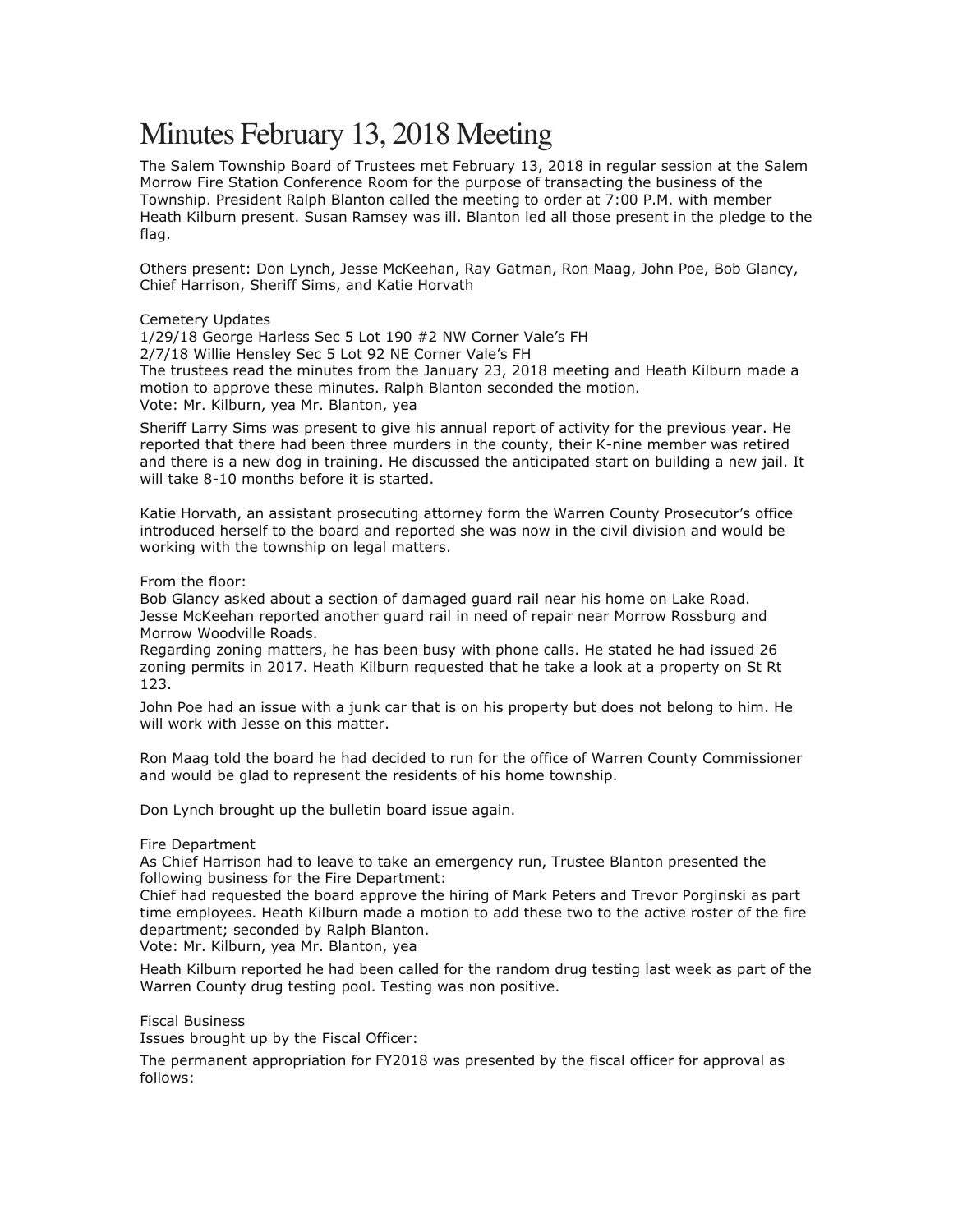# Minutes February 13, 2018 Meeting

The Salem Township Board of Trustees met February 13, 2018 in regular session at the Salem Morrow Fire Station Conference Room for the purpose of transacting the business of the Township. President Ralph Blanton called the meeting to order at 7:00 P.M. with member Heath Kilburn present. Susan Ramsey was ill. Blanton led all those present in the pledge to the flag.

Others present: Don Lynch, Jesse McKeehan, Ray Gatman, Ron Maag, John Poe, Bob Glancy, Chief Harrison, Sheriff Sims, and Katie Horvath

# Cemetery Updates

1/29/18 George Harless Sec 5 Lot 190 #2 NW Corner Vale's FH 2/7/18 Willie Hensley Sec 5 Lot 92 NE Corner Vale's FH The trustees read the minutes from the January 23, 2018 meeting and Heath Kilburn made a motion to approve these minutes. Ralph Blanton seconded the motion. Vote: Mr. Kilburn, yea Mr. Blanton, yea

Sheriff Larry Sims was present to give his annual report of activity for the previous year. He reported that there had been three murders in the county, their K-nine member was retired and there is a new dog in training. He discussed the anticipated start on building a new jail. It will take 8-10 months before it is started.

Katie Horvath, an assistant prosecuting attorney form the Warren County Prosecutor's office introduced herself to the board and reported she was now in the civil division and would be working with the township on legal matters.

# From the floor:

Bob Glancy asked about a section of damaged guard rail near his home on Lake Road. Jesse McKeehan reported another guard rail in need of repair near Morrow Rossburg and Morrow Woodville Roads.

Regarding zoning matters, he has been busy with phone calls. He stated he had issued 26 zoning permits in 2017. Heath Kilburn requested that he take a look at a property on St Rt 123.

John Poe had an issue with a junk car that is on his property but does not belong to him. He will work with Jesse on this matter.

Ron Maag told the board he had decided to run for the office of Warren County Commissioner and would be glad to represent the residents of his home township.

Don Lynch brought up the bulletin board issue again.

# Fire Department

As Chief Harrison had to leave to take an emergency run, Trustee Blanton presented the following business for the Fire Department:

Chief had requested the board approve the hiring of Mark Peters and Trevor Porginski as part time employees. Heath Kilburn made a motion to add these two to the active roster of the fire department; seconded by Ralph Blanton.

Vote: Mr. Kilburn, yea Mr. Blanton, yea

Heath Kilburn reported he had been called for the random drug testing last week as part of the Warren County drug testing pool. Testing was non positive.

# Fiscal Business

Issues brought up by the Fiscal Officer:

The permanent appropriation for FY2018 was presented by the fiscal officer for approval as follows: